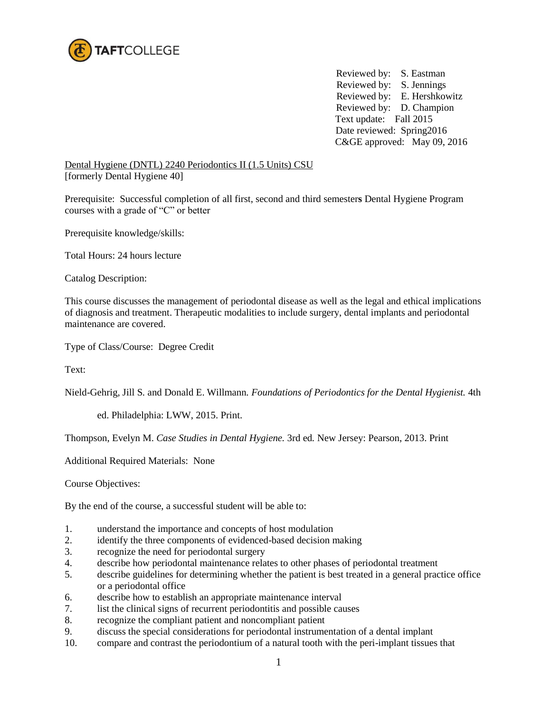

Reviewed by: S. Eastman Reviewed by: S. Jennings Reviewed by: E. Hershkowitz Reviewed by: D. Champion Text update: Fall 2015 Date reviewed: Spring2016 C&GE approved: May 09, 2016

Dental Hygiene (DNTL) 2240 Periodontics II (1.5 Units) CSU [formerly Dental Hygiene 40]

Prerequisite: Successful completion of all first, second and third semester**s** Dental Hygiene Program courses with a grade of "C" or better

Prerequisite knowledge/skills:

Total Hours: 24 hours lecture

Catalog Description:

This course discusses the management of periodontal disease as well as the legal and ethical implications of diagnosis and treatment. Therapeutic modalities to include surgery, dental implants and periodontal maintenance are covered.

Type of Class/Course: Degree Credit

Text:

Nield-Gehrig, Jill S*.* and Donald E. Willmann*. Foundations of Periodontics for the Dental Hygienist.* 4th

ed. Philadelphia: LWW, 2015. Print.

Thompson, Evelyn M. *Case Studies in Dental Hygiene.* 3rd ed*.* New Jersey: Pearson, 2013. Print

Additional Required Materials: None

Course Objectives:

By the end of the course, a successful student will be able to:

- 1. understand the importance and concepts of host modulation
- 2. identify the three components of evidenced-based decision making
- 3. recognize the need for periodontal surgery
- 4. describe how periodontal maintenance relates to other phases of periodontal treatment
- 5. describe guidelines for determining whether the patient is best treated in a general practice office or a periodontal office
- 6. describe how to establish an appropriate maintenance interval
- 7. list the clinical signs of recurrent periodontitis and possible causes
- 8. recognize the compliant patient and noncompliant patient
- 9. discuss the special considerations for periodontal instrumentation of a dental implant
- 10. compare and contrast the periodontium of a natural tooth with the peri-implant tissues that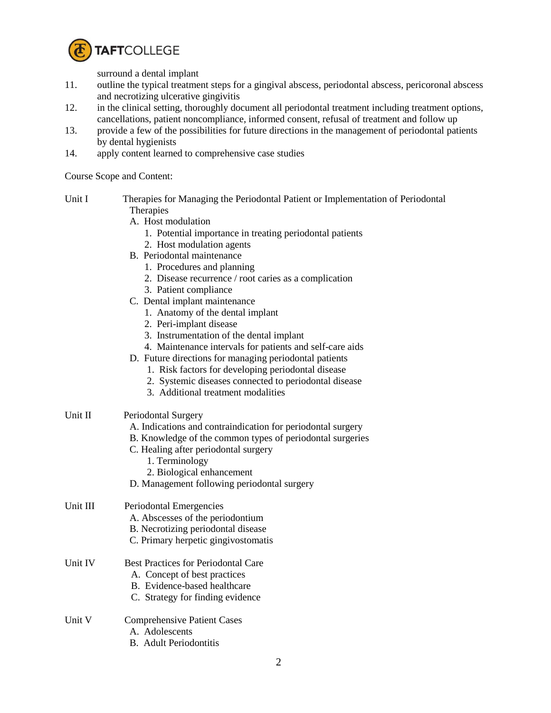

surround a dental implant

- 11. outline the typical treatment steps for a gingival abscess, periodontal abscess, pericoronal abscess and necrotizing ulcerative gingivitis
- 12. in the clinical setting, thoroughly document all periodontal treatment including treatment options, cancellations, patient noncompliance, informed consent, refusal of treatment and follow up
- 13. provide a few of the possibilities for future directions in the management of periodontal patients by dental hygienists
- 14. apply content learned to comprehensive case studies

Course Scope and Content:

- Unit I Therapies for Managing the Periodontal Patient or Implementation of Periodontal **Therapies** 
	- A. Host modulation
		- 1. Potential importance in treating periodontal patients
		- 2. Host modulation agents
	- B. Periodontal maintenance
		- 1. Procedures and planning
		- 2. Disease recurrence / root caries as a complication
		- 3. Patient compliance
	- C. Dental implant maintenance
		- 1. Anatomy of the dental implant
		- 2. Peri-implant disease
		- 3. Instrumentation of the dental implant
		- 4. Maintenance intervals for patients and self-care aids
	- D. Future directions for managing periodontal patients
		- 1. Risk factors for developing periodontal disease
		- 2. Systemic diseases connected to periodontal disease
		- 3. Additional treatment modalities
- Unit II Periodontal Surgery
	- A. Indications and contraindication for periodontal surgery
	- B. Knowledge of the common types of periodontal surgeries
	- C. Healing after periodontal surgery
		- 1. Terminology
		- 2. Biological enhancement
	- D. Management following periodontal surgery

## Unit III Periodontal Emergencies

- A. Abscesses of the periodontium
- B. Necrotizing periodontal disease
- C. Primary herpetic gingivostomatis
- Unit IV Best Practices for Periodontal Care
	- A. Concept of best practices
	- B. Evidence-based healthcare
	- C. Strategy for finding evidence
- Unit V Comprehensive Patient Cases
	- A. Adolescents
		- B. Adult Periodontitis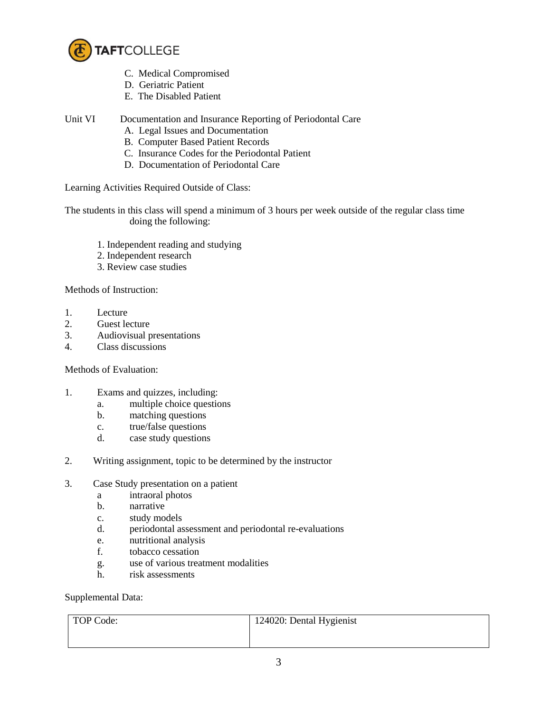

- C. Medical Compromised
- D. Geriatric Patient
- E. The Disabled Patient
- Unit VI Documentation and Insurance Reporting of Periodontal Care
	- A. Legal Issues and Documentation
	- B. Computer Based Patient Records
	- C. Insurance Codes for the Periodontal Patient
	- D. Documentation of Periodontal Care

Learning Activities Required Outside of Class:

The students in this class will spend a minimum of 3 hours per week outside of the regular class time doing the following:

- 1. Independent reading and studying
- 2. Independent research
- 3. Review case studies

Methods of Instruction:

- 1. Lecture
- 2. Guest lecture
- 3. Audiovisual presentations
- 4. Class discussions

## Methods of Evaluation:

- 1. Exams and quizzes, including:
	- a. multiple choice questions
	- b. matching questions
	- c. true/false questions
	- d. case study questions
- 2. Writing assignment, topic to be determined by the instructor
- 3. Case Study presentation on a patient
	- a intraoral photos
	- b. narrative
	- c. study models
	- d. periodontal assessment and periodontal re-evaluations
	- e. nutritional analysis
	- f. tobacco cessation
	- g. use of various treatment modalities
	- h. risk assessments

Supplemental Data:

| TOP Code: | 124020: Dental Hygienist |
|-----------|--------------------------|
|           |                          |
|           |                          |